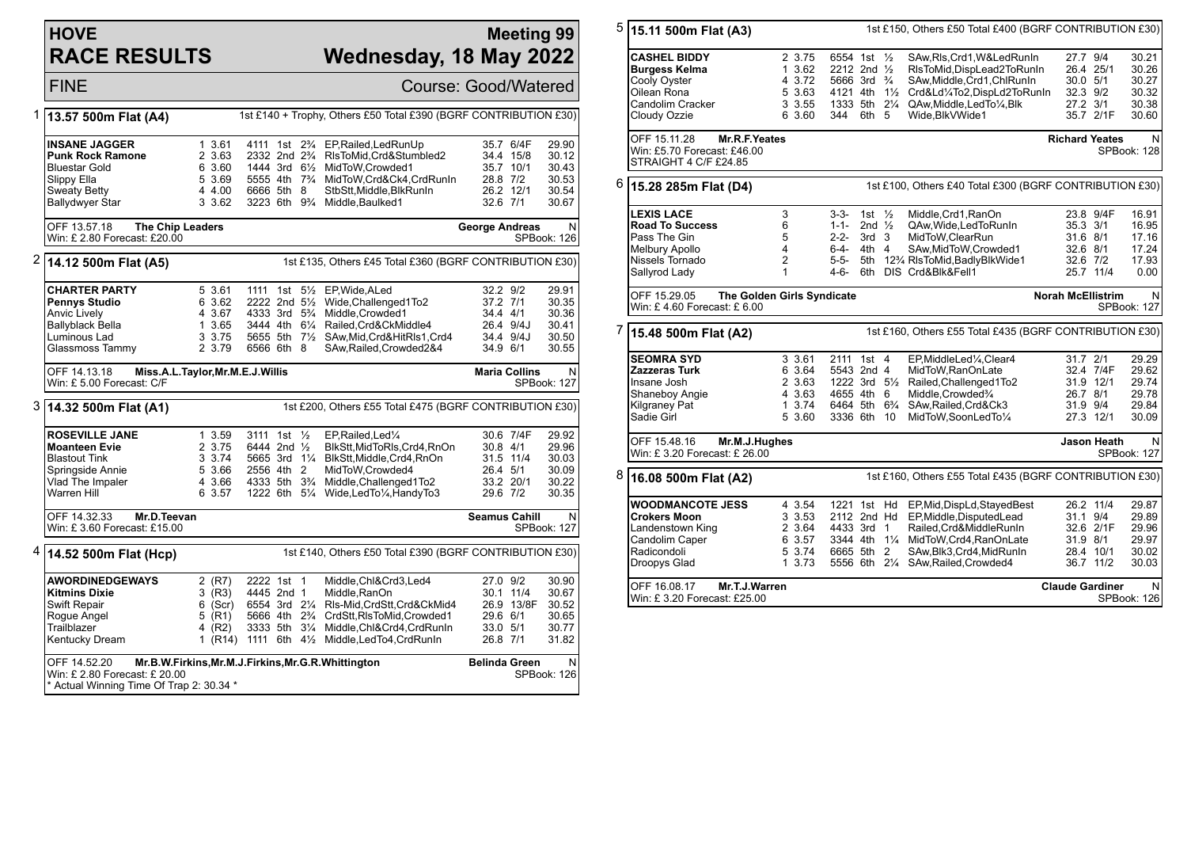## **HOVE RACE RESULTS**

## **Meeting 99 Wednesday, 18 May 2022**

FINE Course: Good/Watered 1 **13.57 500m Flat (A4)** 1st £140 + Trophy, Others £50 Total £390 (BGRF CONTRIBUTION £30) **INSANE JAGGER** 1 3.61 4111 1st 2<sup>3</sup>/<sub>4</sub> EP,Railed,LedRunUp 35.7 6/4F 29.90<br> **Punk Rock Ramone** 2 3.63 2332 2nd 2<sup>3</sup>/<sub>4</sub> RisToMid,Crd&Stumbled2 34.4 15/8 30.12 **Punk Rock Ramone** 2 3.63 2332 2nd 2¾ RlsToMid,Crd&Stumbled2 34.4 15/8 30.12 Bluestar Gold 6 3.60 1444 3rd 6½ MidToW,Crowded1 35.7 10/1 30.43<br>Slippy Ella 5 3.69 5555 4th 7<sup>3</sup>/4 MidToW,Crowded1 28.8 7/2 30.53  $\overline{5}$  3.69 5555 4th  $\overline{7}$  MidToW,Crd&Ck4,CrdRunIn Sweaty Betty 4 4.00 6666 5th 8 StbStt,Middle,BlkRunIn 26.2 12/1 30.54<br>Ballydwyer Star 3 3.62 3223 6th 9% Middle.Bau Ballydwyer Star 3 3.62 3223 6th 9¾ Middle,Baulked1 32.6 7/1 30.67 OFF 13.57.18 **The Chip Leaders** Win: £ 2.80 Forecast: £20.00 **George Andreas** N SPBook: 126 2 **14.12 500m Flat (A5)** 1st £135, Others £45 Total £360 (BGRF CONTRIBUTION £30) **CHARTER PARTY** 5 3.61 1111 1st 5<sup>1</sup>/<sub>2</sub> EP, Wide, ALed 32.2 9/2 29.91<br> **Pennys Studio** 6 3.62 2222 2nd 5<sup>1</sup>/<sub>2</sub> Wide.Challenged1To2 37.2 7/1 30.35 **Pennys Studio** 6 3.62 2222 2nd 5<sup>1</sup>/<sub>2</sub> Wide,Challenged1To2 37.2 7/1 30.35<br>Anvic Lively 34.4 4/1 30.36 4 3.67 4333 3rd 5<sup>3</sup>/<sub>4</sub> Middle,Crowded1 34.4 4/1 30.36 Anvic Lively 4 3.67 4333 3rd 5¾ Middle,Crowded1 34.4 4/1 30.36 Ballyblack Bella 1 3.65 3444 4th 6¼ Railed,Crd&CkMiddle4 26.4 9/4J 30.41 Luminous Lad 3 3.75 5655 5th 7½ SAw,Mid,Crd&HitRls1,Crd4 34.4 9/4J 30.50 6566 6th 8 SAw,Railed,Crowded2&4 OFF 14.13.18 **Miss.A.L.Taylor,Mr.M.E.J.Willis** Win: £ 5.00 Forecast: C/F **Maria Collins** N SPBook: 127 3 **14.32 500m Flat (A1)** 1st £200, Others £55 Total £475 (BGRF CONTRIBUTION £30) **ROSEVILLE JANE** 1 3.59 3111 1st ½ EP,Railed,Led¼ 30.6 7/4F 29.92<br>**Moanteen Evie** 2 3.75 6444 2nd ½ BlkStt.MidToRIs.Crd4.RnOn 30.8 4/1 29.96 **Moanteen Evie** 2 3.75 6444 2nd ½ BlkStt,MidToRls,Crd4,RnOn 30.8 4/1 29.96<br>Blastout Tink 30.03 3.74 5665 3rd 1¼ BlkStt,Middle,Crd4,RnOn 31.5 11/4 30.03 Blastout Tink 3 3.74 5665 3rd 1¼ BlkStt,Middle,Crd4,RnOn 31.5 11/4 30.03 Springside Annie 5 3.66 2556 4th 2 MidToW,Crowded4 26.4 5/1 30.09 Vlad The Impaler 4 3.66 4333 5th 3¾ Middle,Challenged1To2 33.2 20/1 30.22 1222 6th 51/<sub>4</sub> Wide,LedTo1/<sub>4</sub>,HandyTo3 OFF 14.32.33 **Mr.D.Teevan** Win: £ 3.60 Forecast: £15.00 **Seamus Cahill** N SPBook: 127 4 **14.52 500m Flat (Hcp)** 1st £140, Others £50 Total £390 (BGRF CONTRIBUTION £30) **AWORDINEDGEWAYS** 2 (R7) 2222 1st 1 Middle,Chl&Crd3,Led4 27.0 9/2 30.90 **Kitmins Dixie** 3 (R3) 4445 2nd 1 Middle,RanOn 30.1 11/4 30.67 Swift Repair 6 (Scr) 6554 3rd 2¼ Rls-Mid,CrdStt,Crd&CkMid4 26.9 13/8F 30.52 Rogue Angel 5 (R1) 5666 4th 2¾ CrdStt,RlsToMid,Crowded1 29.6 6/1 30.65 Trailblazer 19 1 (R2) 3333 5th 31/4 Middle, Chl&Crd4, CrdRunIn 33.0 5/1 30.77<br>Kentucky Dream 1 (R14) 1111 6th 41/2 Middle, LedTo4, CrdRunIn 26.8 7/1 31.82 1  $(R14)$  1111 6th 4 $\frac{1}{2}$  Middle, LedTo4, CrdRunIn OFF 14.52.20 **Mr.B.W.Firkins,Mr.M.J.Firkins,Mr.G.R.Whittington** Win: £ 2.80 Forecast: £ 20.00 \* Actual Winning Time Of Trap 2: 30.34 \* **Belinda Green** N SPBook: 126 5 **15.11 500m Flat (A3)** 1st £150, Others £50 Total £400 (BGRF CONTRIBUTION £30) **CASHEL BIDDY** 2 3.75 6554 1st 1/<sub>2</sub> SAw,Ris,Crd1,W&LedRunin 27.7 9/4 30.21<br> **Burgess Kelma** 1 3.62 2212 2nd 1/<sub>2</sub> RisToMid,DispLead2ToRunin 26.4 25/1 30.26 **Burgess Kelma** 1 3.62 2212 2nd ½ RlsToMid,DispLead2ToRunIn 26.4 25/1 30.26 Cooly Oyster **4 3.72 5666 3rd ¾ SAw,Middle,Crd1,ChlRunIn** 30.0 5/1 30.27<br>Cilean Rona 5 3.63 4121 4th 1½ Crd&Ld¼To2.DispLd2ToRunIn 32.3 9/2 30.32 Oilean Rona 5 3.63 4121 4th 1½ Crd&Ld¼To2,DispLd2ToRunIn 32.3 9/2 30.32 Candolim Cracker 3 3.55 1333 5th 2¼ QAw,Middle,LedTo¼,Blk 27.2 3/1 30.38 Cloudy Ozzie 6 3.60 344 6th 5 Wide,BlkVWide1 35.7 2/1F 30.60 OFF 15.11.28 **Mr.R.F.Yeates** Win: £5.70 Forecast: £46.00 **STRAIGHT 4 C/F £24.85 Richard Yeates** SPBook: 128 6 **15.28 285m Flat (D4)** 1st £100, Others £40 Total £300 (BGRF CONTRIBUTION £30) **LEXIS LACE** 3 3-3- 1st ½ Middle,Crd1,RanOn 23.8 9/4F 16.91 **Road To Success** 6 1-1- 2nd ½ QAw,Wide,LedToRunIn 35.3 3/1 16.95 Pass The Gin 5 2-2- 3rd 3 MidToW,ClearRun 31.6 8/1 17.16 Melbury Apollo 4 6-4- 4th 4 SAw,MidToW,Crowded1 32.6 8/1 17.24 Nissels Tornado 2 5-5- 5th 12¾ RlsToMid,BadlyBlkWide1 32.6 7/2 17.93 6th DIS Crd&Blk&Fell1 OFF 15.29.05 **The Golden Girls Syndicate** Win: £ 4.60 Forecast: £ 6.00 **Norah McEllistrim** N SPBook: 127 7 **15.48 500m Flat (A2)** 1st £160, Others £55 Total £435 (BGRF CONTRIBUTION £30) **SEOMRA SYD** 3 3.61 2111 1st 4 EP,MiddleLed¼,Clear4 31.7 2/1 29.29 **Zazzeras Turk** 6 3.64 5543 2nd 4 MidToW,RanOnLate 32.4 7/4F 29.62 Insane Josh 2 3.63 1222 3rd 5½ Railed,Challenged1To2 31.9 12/1 29.74 Shaneboy Angie 4 3.63 4655 4th 6 Middle,Crowded¾ 26.7 8/1 29.78 Kilgraney Pat 1 3.74 6464 5th 6¾ SAw,Railed,Crd&Ck3 31.9 9/4 29.84 3336 6th 10 MidToW.SoonLedTo1/4 OFF 15.48.16 **Mr.M.J.Hughes** Win: £ 3.20 Forecast: £ 26.00 **Jason Heath** N SPBook: 127 8 **16.08 500m Flat (A2)** 1st £160, Others £55 Total £435 (BGRF CONTRIBUTION £30) **WOODMANCOTE JESS** 4 3.54 1221 1st Hd EP,Mid,DispLd,StayedBest 26.2 11/4 29.87<br>Crokers Moon 3 3.53 2112 2nd Hd EP,Middle.DisputedLead 31.1 9/4 29.89 **Crokers Moon** 3 3.53 2112 2nd Hd EP,Middle,DisputedLead 31.1 9/4 29.89 Landenstown King 2 3.64 4433 3rd 1 Railed,Crd&MiddleRunIn 32.6 2/1F 29.96 Candolim Caper 6 3.57 3344 4th 1¼ MidToW,Crd4,RanOnLate 31.9 8/1 29.97 5 3.74 6665 5th 2 SAw, Blk3, Crd4, MidRunIn Droopys Glad 1 3.73 5556 6th 2¼ SAw,Railed,Crowded4 36.7 11/2 30.03 OFF 16.08.17 **Mr.T.J.Warren** Win: £ 3.20 Forecast: £25.00 **Claude Gardiner** N SPBook: 126